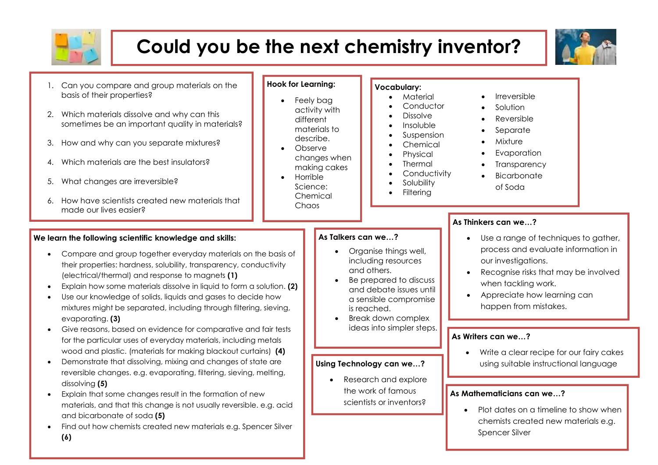

# **Could you be the next chemistry inventor?**



- 1. Can you compare and group materials on the basis of their properties?
- 2. Which materials dissolve and why can this sometimes be an important quality in materials?
- 3. How and why can you separate mixtures?
- 4. Which materials are the best insulators?
- 5. What changes are irreversible?
- 6. How have scientists created new materials that made our lives easier?

#### **We learn the following scientific knowledge and skills:**

- Compare and group together everyday materials on the basis of their properties: hardness, solubility, transparency, conductivity (electrical/thermal) and response to magnets **(1)**
- Explain how some materials dissolve in liquid to form a solution. **(2)**
- Use our knowledge of solids, liquids and gases to decide how mixtures might be separated, including through filtering, sieving, evaporating. **(3)**
- Give reasons, based on evidence for comparative and fair tests for the particular uses of everyday materials, including metals wood and plastic. (materials for making blackout curtains) **(4)**
- Demonstrate that dissolving, mixing and changes of state are reversible changes. e.g. evaporating, filtering, sieving, melting, dissolving **(5)**
- Explain that some changes result in the formation of new materials, and that this change is not usually reversible. e.g. acid and bicarbonate of soda **(5)**
- Find out how chemists created new materials e.g. Spencer Silver **(6)**

## **Hook for Learning:**

- Feely bag activity with different materials to describe.
- Observe changes when making cakes

**As Talkers can we…?** 

and others.

is reached.

**Using Technology can we…?**

• Break down complex ideas into simpler steps.

 Research and explore the work of famous scientists or inventors?

 Organise things well, including resources

 Be prepared to discuss and debate issues until a sensible compromise

 Horrible Science: Chemical Chaos

#### **Vocabulary:**

- Material
- Conductor
- **Dissolve**
- Insoluble
- Suspension
- 
- 
- 
- **Solubility**
- Filtering
- Irreversible
- Solution
- Reversible
- Separate
- Mixture
- Evaporation
- **Transparency**
- **Bicarbonate** of Soda

# **As Thinkers can we…?**

- Use a range of techniques to gather, process and evaluate information in our investigations.
	- Recognise risks that may be involved when tackling work.
	- Appreciate how learning can happen from mistakes.

#### **As Writers can we…?**

 Write a clear recipe for our fairy cakes using suitable instructional language

#### **As Mathematicians can we…?**

 Plot dates on a timeline to show when chemists created new materials e.g. Spencer Silver

- Chemical Physical Thermal
- **Conductivity**
- 
-